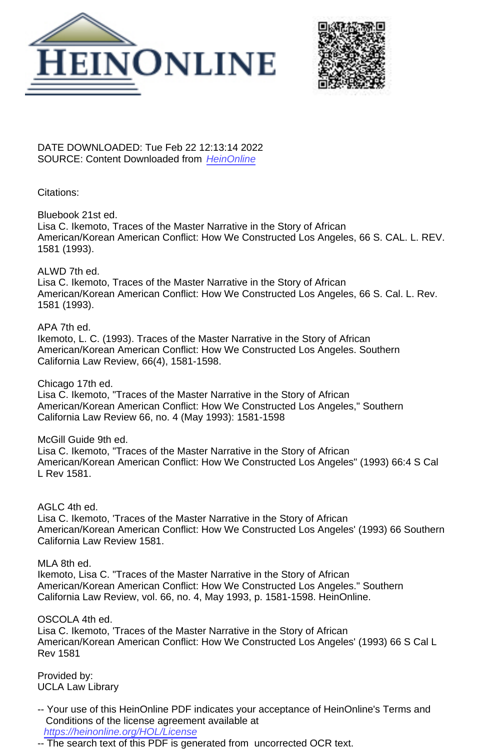



DATE DOWNLOADED: Tue Feb 22 12:13:14 2022 SOURCE: Content Downloaded from [HeinOnline](https://heinonline.org/HOL/Page?handle=hein.journals/scal66&collection=journals&id=1597&startid=&endid=1614)

#### Citations:

Bluebook 21st ed.

Lisa C. Ikemoto, Traces of the Master Narrative in the Story of African American/Korean American Conflict: How We Constructed Los Angeles, 66 S. CAL. L. REV. 1581 (1993).

#### ALWD 7th ed.

Lisa C. Ikemoto, Traces of the Master Narrative in the Story of African American/Korean American Conflict: How We Constructed Los Angeles, 66 S. Cal. L. Rev. 1581 (1993).

#### APA 7th ed.

Ikemoto, L. C. (1993). Traces of the Master Narrative in the Story of African American/Korean American Conflict: How We Constructed Los Angeles. Southern California Law Review, 66(4), 1581-1598.

Chicago 17th ed.

Lisa C. Ikemoto, "Traces of the Master Narrative in the Story of African American/Korean American Conflict: How We Constructed Los Angeles," Southern California Law Review 66, no. 4 (May 1993): 1581-1598

#### McGill Guide 9th ed.

Lisa C. Ikemoto, "Traces of the Master Narrative in the Story of African American/Korean American Conflict: How We Constructed Los Angeles" (1993) 66:4 S Cal L Rev 1581.

AGLC 4th ed.

Lisa C. Ikemoto, 'Traces of the Master Narrative in the Story of African American/Korean American Conflict: How We Constructed Los Angeles' (1993) 66 Southern California Law Review 1581.

MLA 8th ed.

Ikemoto, Lisa C. "Traces of the Master Narrative in the Story of African American/Korean American Conflict: How We Constructed Los Angeles." Southern California Law Review, vol. 66, no. 4, May 1993, p. 1581-1598. HeinOnline.

#### OSCOLA 4th ed.

Lisa C. Ikemoto, 'Traces of the Master Narrative in the Story of African American/Korean American Conflict: How We Constructed Los Angeles' (1993) 66 S Cal L Rev 1581

Provided by: UCLA Law Library

- -- Your use of this HeinOnline PDF indicates your acceptance of HeinOnline's Terms and Conditions of the license agreement available at <https://heinonline.org/HOL/License>
- -- The search text of this PDF is generated from uncorrected OCR text.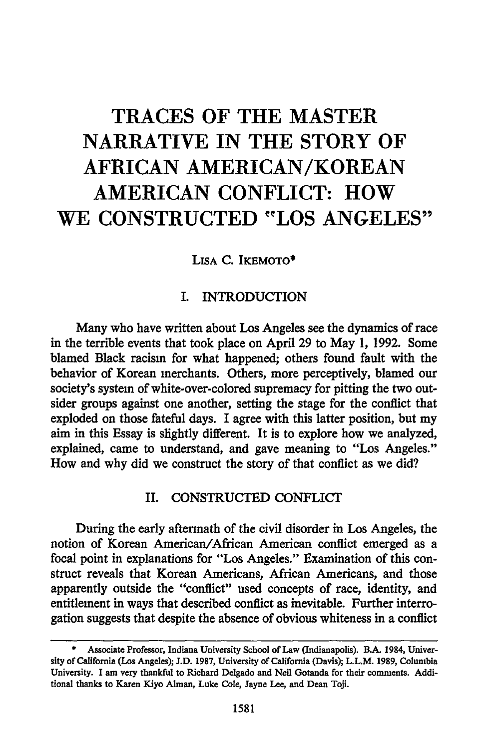# **TRACES OF THE MASTER NARRATIVE IN THE STORY OF AFRICAN AMERICAN/KOREAN AMERICAN CONFLICT: HOW WE CONSTRUCTED "LOS ANGELES"**

LISA C. IKEMOTO\*

# I. INTRODUCTION

Many who have written about Los Angeles see the dynamics of race in the terrible events that took place on April 29 to May 1, 1992. Some blamed Black racism for what happened; others found fault with the behavior of Korean merchants. Others, more perceptively, blamed our society's system of white-over-colored supremacy for pitting the two outsider groups against one another, setting the stage for the conflict that exploded on those fateful days. I agree with this latter position, but my aim in this Essay is slightly different. It is to explore how we analyzed, explained, came to understand, and gave meaning to "Los Angeles." How and why did we construct the story of that conflict as we did?

## II. CONSTRUCTED CONFLICT

During the early aftermath of the civil disorder in Los Angeles, the notion of Korean American/African American conflict emerged as a focal point in explanations for "Los Angeles." Examination of this construct reveals that Korean Americans, African Americans, and those apparently outside the "conflict" used concepts of race, identity, and entitlement in ways that described conflict as inevitable. Further interrogation suggests that despite the absence of obvious whiteness in a conflict

**<sup>\*</sup>** Associate Professor, Indiana University School of Law (Indianapolis). B.A. 1984, University of California (Los Angeles); **J.D. 1987,** University of California (Davis); L.L.M. **1989,** Columbia University. **I** am very thankful to Richard Delgado and Neil Gotanda for their comments. Additional thanks to Karen Kiyo Alman, Luke Cole, Jayne Lee, and Dean Toji.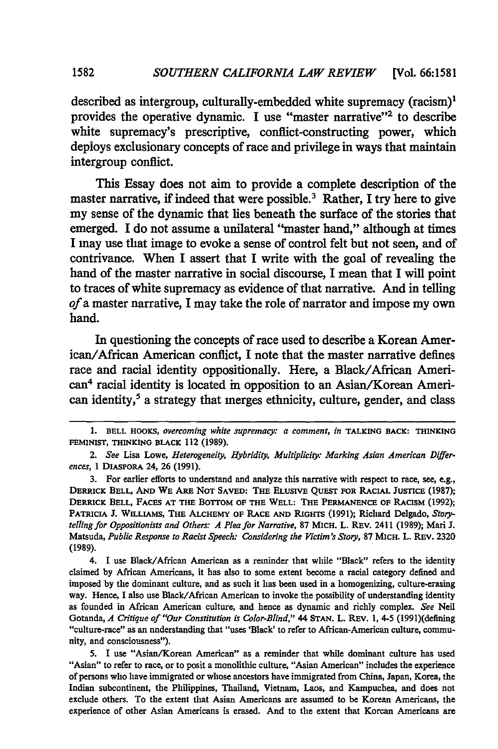described as intergroup, culturally-embedded white supremacy (racism)' provides the operative dynamic. **I** use "master narrative"2 to describe white supremacy's prescriptive, conflict-constructing power, which deploys exclusionary concepts of race and privilege in ways that maintain intergroup conflict.

This Essay does not aim to provide a complete description of the master narrative, if indeed that were possible.3 Rather, I try here to give my sense of the dynamic that **lies** beneath the surface of the stories that emerged. I do not assume a unilateral "master hand," although at times I may use that image to evoke a sense of control felt but not seen, and of contrivance. When I assert that I write with the goal of revealing the hand of the master narrative in social discourse, I mean that I **will** point to traces of white supremacy as evidence of that narrative. And in telling *of a* master narrative, I may take the role of narrator and impose my own hand.

In questioning the concepts of race used to describe a Korean American/African American conflict, **I** note that the master narrative defines race and racial identity oppositionally. Here, a Black/African American4 racial identity is located in opposition to an Asian/Korean American identity,<sup>5</sup> a strategy that merges ethnicity, culture, gender, and class

3. For earlier efforts to understand and analyze this narrative with respect to race, see, e.g., **DERRICK BELL, AND WE ARE NOT SAVED: THE ELUSIVE QuEST FOR RACIAL JUSTICE (1987); DERRICK BELL,** FACES **AT THE** BOTTOM **OF THE WELL: THE PERMANENCE OF** RACISM **(1992); PATRICIA J. WILLIAMS, THE ALCHEMY OF RACE AND RIGHTS (1991);** Richard Delgado, *Storytelling for Oppositionists and Others: A Plea for Narrative, 87 MICH. L. REV. 2411 (1989); Mari J.* Matsuda, *Public Response to Racist Speech: Considering the Victim's Story,* **87 MICH.** L. REV. **2320** (1989).

4. I use Black/African American as a reminder that while "Black" refers to the identity claimed by African Americans, it has also to some extent become a racial category defined and imposed by the dominant culture, and as such it has been used in a homogenizing, culture-erasing way. Hence, I also use Black/African American to invoke the possibility of understanding identity as founded in African American culture, and hence as dynamic and richly complex. *See* Neil Gotanda, *A Critique of "Our Constitution is Color-Blind,"* 44 STAN. L. REV. 1, 4-5 (1991)(defining "culture-race" as an nnderstanding that "uses 'Black' to refer to African-American culture, community, and consciousness").

5. I use "Asian/Korean American" as a reminder that while dominant culture has used "Asian" to refer to race, or to posit a monolithic culture, "Asian American" includes the experience of persons who have immigrated or whose ancestors have immigrated from China, Japan, Korea, the Indian subcontinent, the Philippines, Thailand, Vietnam, Laos, and Kampuchea, and does not exclude others. To the extent that Asian Americans are assumed to be Korean Americans, the experience of other Asian Americans is erased. And to the extent that Korean Americans are

**<sup>1.</sup> BELL HOOKS,** *overcoming white supremacy: a comment, in* **TALKING BACK: THINKING FEMINIST, THINKING BLACK** 112 (1989).

*<sup>2.</sup> See* Lisa Lowe, *Heterogeneity, Hybridity, Multiplicity: Marking Asian American Differences,* 1 DIASPORA 24, 26 (1991).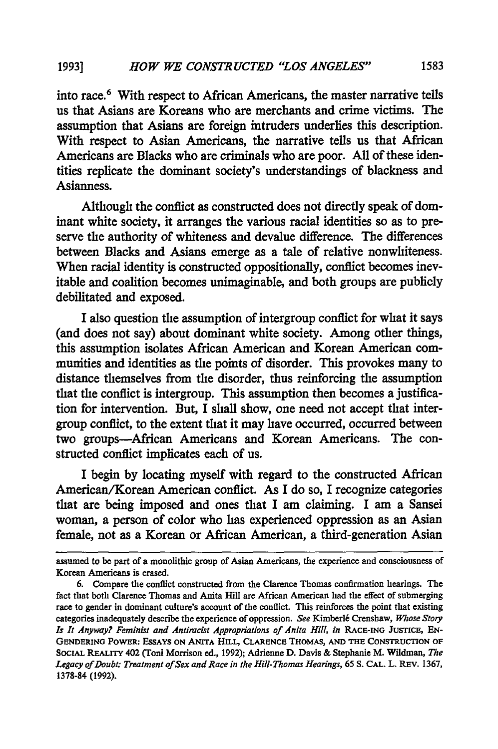into race.6 With respect to African Americans, the master narrative tells us that Asians are Koreans who are merchants and crime victims. The assumption that Asians are foreign intruders underlies this description. With respect to Asian Americans, the narrative tells us that African Americans are Blacks who are criminals who are poor. All of these identities replicate the dominant society's understandings of blackness and Asianness.

Although the conflict as constructed does not directly speak of dominant white society, it arranges the various racial identities so as to preserve the authority of whiteness and devalue difference. The differences between Blacks and Asians emerge as a tale of relative nonwhiteness. When racial identity is constructed oppositionally, conflict becomes inevitable and coalition becomes unimaginable, and both groups are publicly debilitated and exposed.

I also question the assumption of intergroup conflict for what it says (and does not say) about dominant white society. Among other things, this assumption isolates African American and Korean American communities and identities as the points of disorder. This provokes many to distance themselves from the disorder, thus reinforcing the assumption that the conflict is intergroup. This assumption then becomes a justification for intervention. But, I shall show, one need not accept that intergroup conflict, to the extent that it may have occurred, occurred between two groups-African Americans and Korean Americans. The constructed conflict implicates each of us.

I begin by locating myself with regard to the constructed African American/Korean American conflict. As I do so, I recognize categories that are being imposed and ones that I am claiming. I am a Sansei woman, a person of color who has experienced oppression as an Asian female, not as a Korean or African American, a third-generation Asian

assumed to be part of a monolithic group of Asian Americans, the experience and consciousness of Korean Americans is erased.

<sup>6.</sup> Compare the conflict constructed from the Clarence Thomas confirmation hearings. The fact that both Clarence Thomas and Anita Hill are African American had the effect of submerging race to gender in dominant culture's account of the conflict. This reinforces the point that existing categories inadequately describe the experience of oppression. See Kimberlé Crenshaw, Whose Story Is It Anyway? *Feminist and Antiracist Appropriations of Anita Hill, in* RACE-ING **JUSTICE, EN-GENDERING POWER: ESSAYS ON ANITA HILL, CLARENCE THOMAS, AND THE CONSTRUCTION OF SOCIAL REALITY 402 (Toni Morrison ed., 1992); Adrienne D. Davis & Stephanie** M. **Wildman,** *The Legacy of Doubt: Treatment of Sex and Race in the Hill-Thomas Hearings,* 65 **S. CAL. L.** REv. 1367, 1378-84 (1992).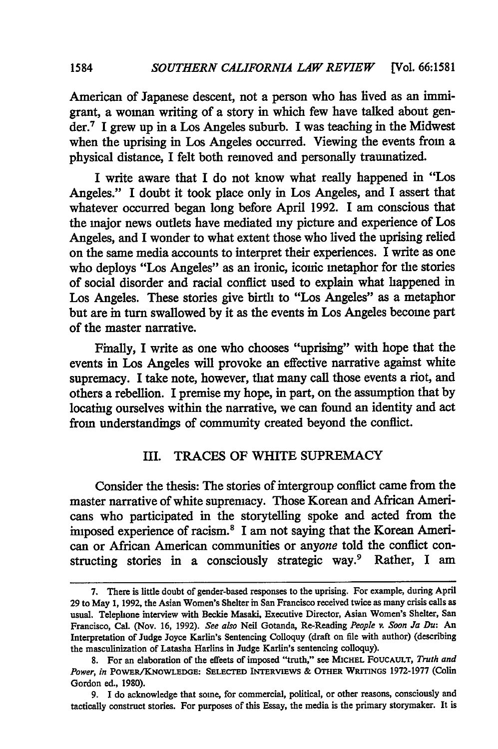American of Japanese descent, not a person who has lived as an immigrant, a woman writing of a story in which few have talked about gender.7 I grew up in a Los Angeles suburb. I was teaching in the Midwest when the uprising in Los Angeles occurred. Viewing the events from a physical distance, I felt both removed and personally traumatized.

I write aware that I do not know what really happened in "Los Angeles." I doubt it took place only in Los Angeles, and I assert that whatever occurred began long before April 1992. I am conscious that the major news outlets have mediated my picture and experience of Los Angeles, and I wonder to what extent those who lived the uprising relied on the same media accounts to interpret their experiences. I write as one who deploys "Los Angeles" as an ironic, iconic metaphor for the stories of social disorder and racial conflict used to explain what happened in Los Angeles. These stories give birth to "Los Angeles" as a metaphor but are in turn swallowed by it as the events in Los Angeles become part of the master narrative.

Finally, I write as one who chooses "uprising" with hope that the events in Los Angeles will provoke an effective narrative against white supremacy. I take note, however, that many call those events a riot, and others a rebellion. I premise my hope, in part, on the assumption that by locating ourselves within the narrative, we can found an identity and act from understandings of community created beyond the conflict.

## III. TRACES OF WHITE SUPREMACY

Consider the thesis: The stories of intergroup conflict came from the master narrative of white supremacy. Those Korean and African Americans who participated in the storytelling spoke and acted from the imposed experience of racism.<sup>8</sup> I am not saying that the Korean American or African American communities or *anyone* told the conflict constructing stories in a consciously strategic way.9 Rather, I am

<sup>7.</sup> There is little doubt of gender-based responses to the uprising. For example, during April 29 to May 1, 1992, the Asian Women's Shelter in San Francisco received twice as many crisis calls as usual. Telephone interview with Beckie Masaki, Executive Director, Asian Women's Shelter, San Francisco, Cal. (Nov. 16, 1992). *See also* Neil Gotanda, Re-Reading *People v. Soon Ja Du:* An Interpretation of Judge Joyce Karlin's Sentencing Colloquy (draft on file with author) (describing the masculinization of Latasha Harlins in Judge Karlin's sentencing colloquy).

**S.** For an elaboration of the effects of imposed "truth," see MICHEL FOUCAULT, *Truth and Power, in* POWER/KNOWLEDGE: **SELECTED** INTERVIEWS & OTHER WRITINGS 1972-1977 (Colin Gordon ed., 1980).

<sup>9.</sup> I do acknowledge that some, for commercial, political, or other reasons, consciously and tactically construct stories. For purposes of this Essay, the media is the primary storymaker. It is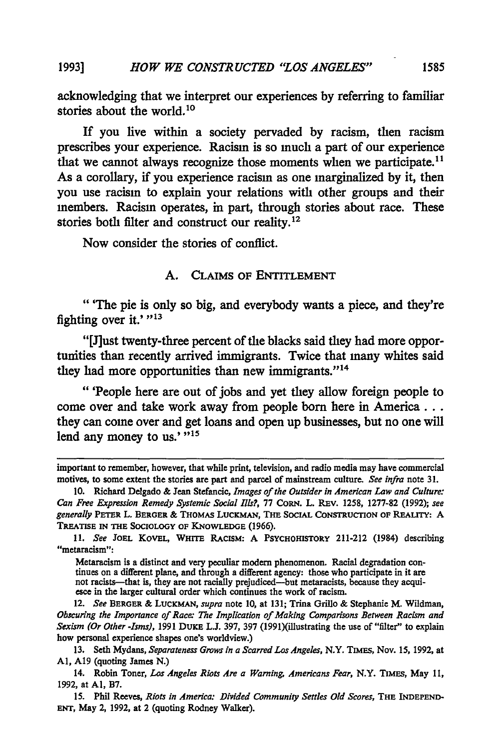acknowledging that we interpret our experiences **by** referring to familiar stories about the world. **°**

**If** you live within a society pervaded **by** racism, then racism prescribes your experience. Racism is so much a part of our experience that we cannot always recognize those moments when we participate.<sup>11</sup> As a corollary, if you experience racism as one marginalized **by** it, then you use racism to explain your relations with other groups and their members. Racism operates, in part, through stories about race. These stories both filter and construct our reality. <sup>12</sup>

Now consider the stories of conflict.

# **A.** CLAIMS OF ENTITLEMENT

"'The pie is only so big, and everybody wants a piece, and they're fighting over it.'"<sup>13</sup>

"[J]ust twenty-three percent of the blacks said they had more opportunities than recently arrived immigrants. Twice that many whites said they had more opportunities than new immigrants."<sup>14</sup>

"'People here are out of jobs and yet they allow foreign people to come over and take work away from people born here in **America...** they can come over and get loans and open up businesses, but no one **will** lend any money to us.' "<sup>15</sup>

Metaracism is a distinct and very peculiar modem phenomenon. Racial degradation con tinues on a different plane, and through a different agency: those who participate in it are not racists—that is, they are not racially prejudiced—but metaracists, because they acquiesce in the larger cultural order which

12. *See* **BERGER** & LUCKMAN, *supra* note **10,** at **131;** Trina **Grillo** & Stephanie M. Wildman, *Obscuring the Importance of Race: The Implication of Making Comparisons Between Racism and Sexism (Or Other -Isms),* 1991 **DUKE L.J.** 397, 397 (1991)(illustrating the use of "filter" to explain how personal experience shapes one's worldview.)

13. Seth Mydans, *Separateness Grows in a Scarred Los Angeles,* N.Y. TIMES, Nov. 15, 1992, at **Al, A19** (quoting James N.)

important to remember, however, that while print, television, and radio media may have commercial motives, to some extent the stories are part and parcel of mainstream culture. *See infra* note **31.**

**<sup>10.</sup>** Richard Delgado & Jean Stefancic, *Images of the Outsider in American Law and Culture: Can Free Expression Remedy Systemic Social Ills?,* 77 CORN. L. REv. 1258, 1277-82 (1992); *see generally* PETER L. **BERGER** & THOMAS LUCKMAN, THE **SOCIAL CONSTRUCTION OF REALITY:** A **TREATISE IN THE SOCIOLOGY OF KNOWLEDGE (1966).**

<sup>11.</sup> *See* **JOEL** KovEL, **WHITE RACISM:** A **PSYCHOHISTORY** 211-212 (1984) describing "metaracism":

<sup>14.</sup> Robin Toner, *Los Angeles Riots Are a Warning Americans Fear,* N.Y. TIMES, May 11, 1992, at **Al,** B7.

**<sup>15.</sup>** Phil Reeves, *Riots in America: Divided Community Settles Old Scores,* **THE INDEPEND-ENT,** May 2, 1992, at 2 (quoting Rodney Walker).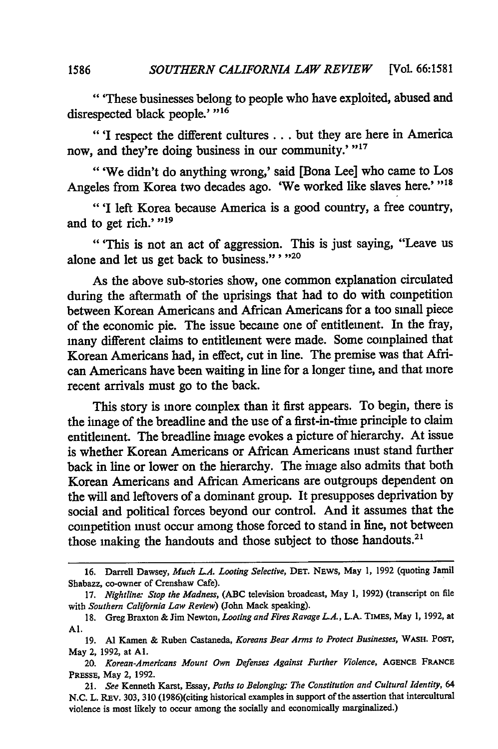"'These businesses belong to people who have exploited, abused and disrespected black people.' "<sup>16</sup>

"'I respect the different cultures... but they are here in America now, and they're doing business in our community.' "<sup>17</sup>

"'We didn't do anything wrong,' said [Bona Lee] who came to Los Angeles from Korea two decades ago. 'We worked like slaves here.' "18

"'I left Korea because America is a good country, a free country, and to get rich.' "<sup>19</sup>

"'This is not an act of aggression. This is just saying, "Leave us alone and let us get back to business."' **"20**

As the above sub-stories show, one common explanation circulated during the aftermath of the uprisings that had to do with competition between Korean Americans and African Americans for a too small piece of the economic pie. The issue became one of entitlement. In the fray, many different claims to entitlement were made. Some complained that Korean Americans had, in effect, cut in line. The premise was that African Americans have been waiting in line for a longer time, and that more recent arrivals must go to the back.

This story is more complex than it first appears. To begin, there is the image of the breadline and the use of a first-in-time principle to claim entitlement. The breadline image evokes a picture of hierarchy. At issue is whether Korean Americans or African Americans must stand further back in line or lower on the hierarchy. The image also admits that both Korean Americans and African Americans are outgroups dependent on the will and leftovers of a dominant group. It presupposes deprivation by social and political forces beyond our control. And it assumes that the competition must occur among those forced to stand in line, not between those making the handouts and those subject to those handouts.<sup>21</sup>

**<sup>16.</sup>** Darrell Dawsey, *Much LA. Looting Selective,* **DET. NEWS,** May **1, 1992** (quoting Jamil Shabazz, co-owner of Crenshaw Cafe).

<sup>17.</sup> *Nightline: Stop the Madness,* (ABC television broadcast, May 1, 1992) (transcript on file with *Southern California Law Review)* (John Mack speaking).

<sup>18.</sup> Greg Braxton & Jim Newton, *Looting and Fires Ravage LA.,* L.A. TIMES, May 1, 1992, at **Al.**

<sup>19.</sup> **Al** Kamen & Ruben Castaneda, *Koreans Bear Arms to Protect Businesses,* WAsH. POST, May 2, 1992, at **Al.**

*<sup>20.</sup> Korean-Americans Mount Own Defenses Against Further Violence,* **AGENCE** FRANCE **PRESSE,** May 2, 1992.

<sup>21.</sup> *See* Kenneth Karst, Essay, *Paths to Belonging: The Constitution and Cultural Identity, 64* N.C. L. REv. 303, 310 (1986)(citing historical examples in support of the assertion that intercultural violence is most likely to occur among the socially and economically marginalized.)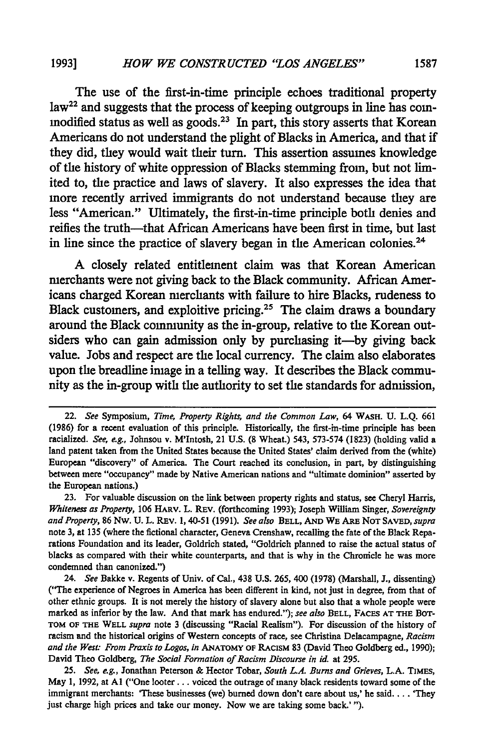# *HOW WE CONSTRUCTED "LOS ANGELES"* **19931 1587**

The use of the first-in-time principle echoes traditional property law<sup>22</sup> and suggests that the process of keeping outgroups in line has commodified status as well as goods.<sup>23</sup> In part, this story asserts that Korean Americans do not understand the plight of Blacks in America, and that if they did, they would wait their turn. This assertion assumes knowledge of the history of white oppression of Blacks stemming from, but not limited to, the practice and laws of slavery. It also expresses the idea that more recently arrived immigrants do not understand because they are less "American." Ultimately, the first-in-time principle both denies and reifies the truth-that African Americans have been first in time, but last in line since the practice of slavery began in the American colonies.<sup>24</sup>

**A** closely related entitlement claim was that Korean American merchants were not giving back to the Black community. African Americans charged Korean merchants with failure to hire Blacks, rudeness to Black customers, and exploitive pricing.25 The claim draws a boundary around the Black community as the in-group, relative to the Korean outsiders who can gain admission only **by** purchasing it-by giving back value. Jobs and respect are the local currency. The claim also elaborates upon the breadline image in a telling way. It describes the Black community as the in-group with the authority to set the standards for admission,

23. For valuable discussion on the link between property rights and status, see Cheryl Harris, *Whiteness as Property,* 106 HARv. L. REv. (forthcoming 1993); Joseph William Singer, *Sovereignty and Property,* 86 Nw. U. L. REv. 1, 40-51 (1991). *See also* **BELL, AND** WE **ARE NOT SAVED,** *supra* note 3, at 135 (where the fictional character, Geneva Crenshaw, recalling the fate of the Black Reparations Foundation and its leader, Goldrich stated, "Goldrich planned to raise the actual status of blacks as compared with their white counterparts, and that is why in the Chronicle he was more condemned than canonized.")

24. *See* Bakke v. Regents of Univ. of Cal., 438 U.S. 265, 400 (1978) (Marshall, J., dissenting) ("The experience of Negroes in America has been different in kind, not just in degree, from that of other ethnic groups. It is not merely the history of slavery alone but also that a whole people were marked as inferior **by** the law. And that mark has endured."); *see also* **BELL, FAcES AT THE** BOT-**TOM** OF **THE** WELL *supra* note 3 (discussing "Racial Realism"). For discussion of the history of racism and the historical origins of Western concepts of race, see Christina Delacampagne, *Racism and the West: From Praxis to Logos, in* **ANATOMY** OF RACISM 83 (David Theo Goldberg ed., 1990); David Theo Goldberg, *The Social Formation of Racism Discourse in id.* at 295.

25. *See, eg.,* Jonathan Peterson & Hector Tobar, *South LA. Burns and Grieves,* L.A. TIMES, May 1, 1992, at Al ("One looter.. **.** voiced the outrage of many black residents toward some of the immigrant merchants: 'These businesses (we) burned down don't care about us,' he said. . **.** . 'They just charge high prices and take our money. Now we are taking some back.' ").

<sup>22.</sup> *See* Symposium, *Time, Property Rights, and the Common Law,* 64 WASH. U. **L.Q.** 661 (1986) for a recent evaluation of this principle. Historically, the first-in-time principle has been racialized. *See,* eg., Johnson v. M'Intosh, 21 **U.S. (8** Wheat.) 543, 573-574 (1823) (holding valid a land patent taken from the United States because the United States' claim derived from the (white) European "discovery" of America. The Court reached its conclusion, in part, by distinguishing between mere "occupancy" made by Native American nations and "ultimate dominion" asserted by the European nations.)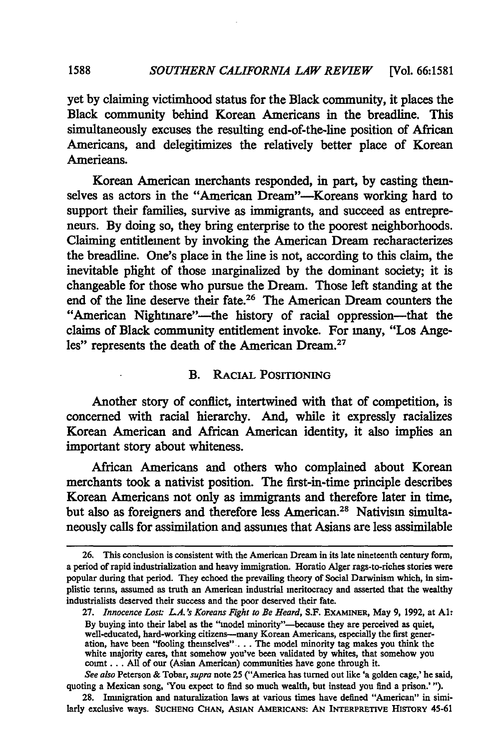yet **by** claiming victimhood status for the Black community, it places the Black community behind Korean Americans in the breadline. This simultaneously excuses the resulting end-of-the-line position of African Americans, and delegitimizes the relatively better place of Korean Americans.

Korean American merchants responded, in part, by casting themselves as actors in the "American Dream"-Koreans working hard to support their families, survive as immigrants, and succeed as entrepreneurs. By doing so, they bring enterprise to the poorest neighborhoods. Claiming entitlement by invoking the American Dream recharacterizes the breadline. One's place in the line is not, according to this claim, the inevitable plight of those marginalized by the dominant society; it is changeable for those who pursue the Dream. Those left standing at the end of the line deserve their fate.<sup>26</sup> The American Dream counters the "American Nightmare"—the history of racial oppression—that the claims of Black community entitlement invoke. For many, "Los Angeles" represents the death of the American Dream.<sup>27</sup>

## B. RACIAL POSITIONING

Another story of conflict, intertwined with that of competition, is concerned with racial hierarchy. And, while it expressly racializes Korean American and African American identity, it also implies an important story about whiteness.

African Americans and others who complained about Korean merchants took a nativist position. The first-in-time principle describes Korean Americans not only as immigrants and therefore later in time, but also as foreigners and therefore less American.<sup>28</sup> Nativism simultaneously calls for assimilation and assumes that Asians are less assimilable

**<sup>26.</sup>** This conclusion is consistent with the American Dream in its late nineteenth century form, a period of rapid industrialization and heavy immigration. Horatio Alger rags-to-riches stories were popular during that period. **They** echoed the prevailing theory of Social Darwinism which, in simplistic terms, assumed as truth an American industrial meritocracy and asserted that the wealthy industrialists deserved their success and the poor deserved their fate.

**<sup>27.</sup>** *Innocence Los" L.A.'s Koreans Fight to Be Heard,* **S.F.** EXAMINER, May **9, 1992,** at **Al:** By buying into their label as the "model minority"-because they are perceived as quiet well-educated, hard-working citizens-many Korean Americans, especially the first generation, have been "fooling themselves" **...** The model minority tag makes you think the white majority cares, that somehow you've been validated **by** whites, that somehow you **count... All** of our (Asian American) communities have gone through it.

*See also* Peterson **&** Tobar, *supra* note **25** ("America has turned out like 'a golden cage,' he said, quoting a Mexican song, 'You expect to find so much wealth, but instead you find a prison.' **").**

**<sup>28.</sup>** Immigration and naturalization laws at various times have defined "American" in **simi**larly exclusive ways. **SUCHENG CHAN, ASIAN AMERICANS: AN INTERPRETIVE HISTORY** 45-61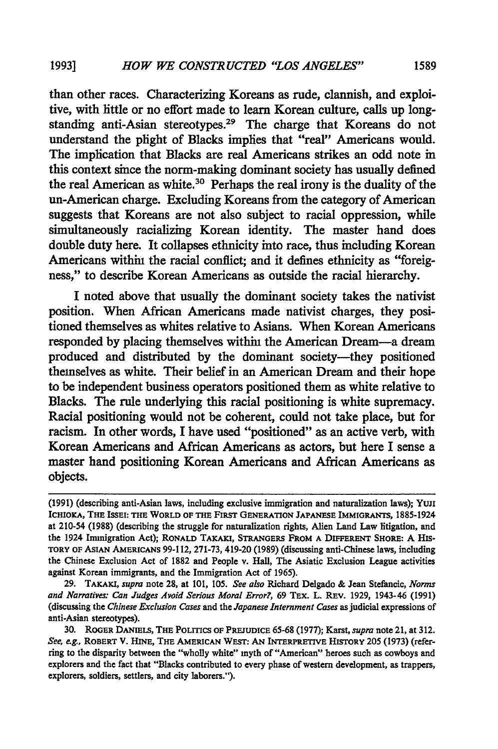than other races. Characterizing Koreans as rude, clannish, and exploitive, with little or no effort made to learn Korean culture, calls up longstanding anti-Asian stereotypes.<sup>29</sup> The charge that Koreans do not understand the plight of Blacks implies that "real" Americans would. The implication that Blacks are real Americans strikes an odd note in this context since the norm-making dominant society has usually defined the real American as white.30 Perhaps the real irony is the duality of the un-American charge. Excluding Koreans from the category of American suggests that Koreans are not also subject to racial oppression, while simultaneously racializing Korean identity. The master hand does double duty here. It collapses ethnicity into race, thus including Korean Americans within the racial conflict; and it defines ethnicity as "foreigness," to describe Korean Americans as outside the racial hierarchy.

I noted above that usually the dominant society takes the nativist position. When African Americans made nativist charges, they positioned themselves as whites relative to Asians. When Korean Americans responded by placing themselves within the American Dream-a dream produced and distributed by the dominant society-they positioned themselves as white. Their belief in an American Dream and their hope to be independent business operators positioned them as white relative to Blacks. The rule underlying this racial positioning is white supremacy. Racial positioning would not be coherent, could not take place, but for racism. In other words, I have used "positioned" as an active verb, with Korean Americans and African Americans as actors, but here I sense a master hand positioning Korean Americans and African Americans as objects.

29. TAKAKI, *supra* note **28,** at **101, 105.** *See also* Richard Delgado **&** Jean Stefancic, *Norms and Narratives: Can Judges Avoid Serious Moral Error?,* 69 TEx. L. REV. **1929,** 1943-46 **(1991)** (discussing the *Chinese Exclusion Cases* and the *Japanese Internment Cases* as judicial expressions of anti-Asian stereotypes).

**<sup>(1991)</sup>** (describing anti-Asian laws, including exclusive immigration and naturalization laws); YujI ICHIOKA, THE ISSEI: THE WORLD OF THE FIRST **GENERATION JAPANESE** IMMIGRANTS, **1885-1924** at 210-54 **(1988)** (describing the struggle for naturalization rights, Alien Land Law litigation, and the 1924 Immigration Act); RONALD TAKAKI, STRANGERS FROM **A** DIFFERENT SHORE: A HIS-TORY OF ASIAN AMERICANS **99-112, 271-73,** 419-20 **(1989)** (discussing anti-Chinese laws, including the Chinese Exclusion Act of **1882** and People v. Hall, The Asiatic Exclusion League activities against Korean immigrants, and the Immigration Act of **1965).**

**<sup>30.</sup>** ROGER DANIELS, THE **POLITICS** OF PREJUDICE **65-68 (1977);** Karst, *supra* note 21, at **312.** *See, e.g.,* ROBERT V. **HINE,** THE AMERICAN WEST: **AN** INTERPRETIVE HISTORY **205 (1973)** (referring to the disparity between the "wholly white" myth **of** "American" heroes such as cowboys and explorers and the fact that "Blacks contributed to every phase of western development, as trappers, explorers, soldiers, settlers, and city laborers.").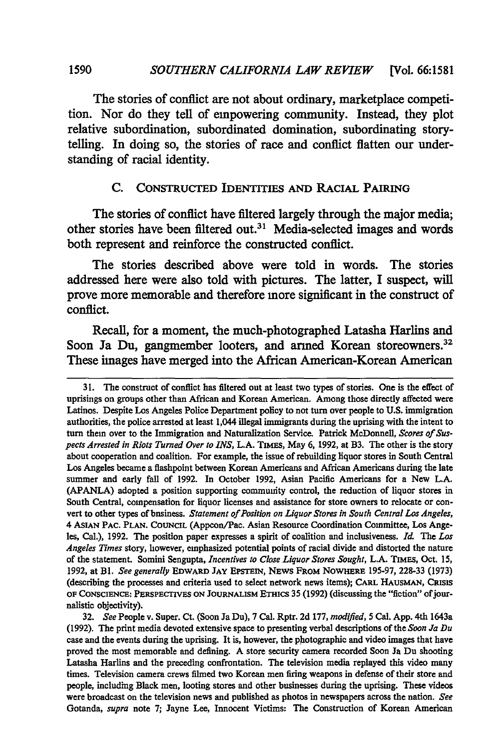The stories of conflict are not about ordinary, marketplace competition. Nor do they tell of empowering community. Instead, they plot relative subordination, subordinated domination, subordinating storytelling. In doing so, the stories of race and conflict flatten our understanding of racial identity.

## **C. CONSTRUCTED** IDENTITIES **AND** RACIAL PAIRING

The stories of conflict have filtered largely through the major media; other stories have been filtered out.<sup>31</sup> Media-selected images and words both represent and reinforce the constructed conflict.

The stories described above were told in words. The stories addressed here were also told with pictures. The latter, I suspect, will prove more memorable and therefore more significant in the construct of conflict.

Recall, for a moment, the much-photographed Latasha Harlins and Soon Ja Du, gangmember looters, and armed Korean storeowners.<sup>32</sup> These images have merged into the African American-Korean American

**<sup>31.</sup>** The construct of conflict has filtered out at least two types of stories. One is the effect of uprisings on groups other than African and Korean American. Among those directly affected were Latinos. Despite Los Angeles Police Department policy to not turn over people to **U.S.** immigration authorities, the police arrested at least 1,044 illegal immigrants during the uprising with the intent to turn them over to the Immigration and Naturalization Service. Patrick McDonnell, *Scores of Suspects Arrested in Riots Turned Over to INS,* L.A. TIMES, May 6, 1992, at B3. The other is the story about cooperation and coalition. For example, the issue of rebuilding liquor stores in South Central Los Angeles became a flashpoint between Korean Americans and African Americans during the late summer and early fall of 1992. In October 1992, Asian Pacific Americans for a New L.A. (APANLA) adopted a position supporting community control, the reduction of liquor stores in South Central, compensation for liquor licenses and assistance for store owners to relocate or convert to other types of business. *Statement of Position on Liquor Stores in South Central Los Angeles,* 4 ASIAN PAC. **PLAN. COUNCIL** (Appcon/Pac. Asian Resource Coordination Committee, Los Angeles, Cal.), 1992. The position paper expresses a spirit of coalition and inclusiveness. *Id* The *Los Angeles Times* story, however, emphasized potential points of racial divide and distorted the nature of the statement. Somini Sengupta, *Incentives to Close Liquor Stores Sought,* L.A. TIMES, Oct. 15, 1992, at **Bl.** *See generally* EDWARD **JAY** EPSTEIN, NEWS FROM NOWHERE 195-97, 228-33 (1973) (describing the processes and criteria used to select network news items); CARL HAUSMAN, **CRISIS OF CONSCIENCE:** PERSPECTIVES **ON JOURNALISM** ETHICS 35 (1992) (discussing the "fiction" ofjournalistic objectivity).

<sup>32.</sup> *See* People v. Super. Ct. (Soon Ja Du), 7 Cal. Rptr. 2d 177, *modified,* 5 Cal. App. 4th 1643a (1992). The print media devoted extensive space to presenting verbal descriptions of the *Soon Ja Du* case and the events during the uprising. It is, however, the photographic and video images that have proved the most memorable and defining. A store security camera recorded Soon Ja Du shooting Latasha Harlins and the preceding confrontation. The television media replayed this video many times. Television camera crews filmed two Korean men firing weapons in defense of their store and people, including Black men, looting stores and other businesses during the uprising. These videos were broadcast on the television news and published as photos in newspapers across the nation. *See* Gotanda, *supra* note 7; Jayne Lee, Innocent Victims: The Construction of Korean American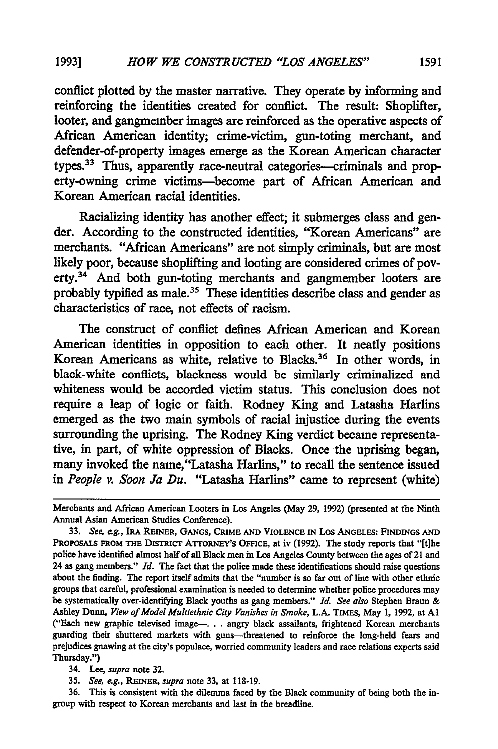conflict plotted **by** the master narrative. They operate **by** informing and reinforcing the identities created for conflict. The result: Shoplifter, looter, and gangmember images are reinforced as the operative aspects of African American identity; crime-victim, gun-toting merchant, and defender-of-property images emerge as the Korean American character types.<sup>33</sup> Thus, apparently race-neutral categories-criminals and property-owning crime victims-become part of African American and Korean American racial identities.

Racializing identity has another effect; it submerges class and gender. According to the constructed identities, "Korean Americans" are merchants. "African Americans" are not simply criminals, but are most likely poor, because shoplifting and looting are considered crimes of poverty.34 And both gun-toting merchants and gangmember looters are probably typified as male.<sup>35</sup> These identities describe class and gender as characteristics of race, not effects of racism.

The construct of conflict defines African American and Korean American identities in opposition to each other. It neatly positions Korean Americans as white, relative to Blacks.36 In other words, **in** black-white conflicts, blackness would be similarly criminalized and whiteness would be accorded victim status. This conclusion does not require a leap of logic or faith. Rodney King and Latasha Harlins emerged as the two main symbols of racial injustice during the events surrounding the uprising. The Rodney King verdict became representative, in part, of white oppression of Blacks. Once the uprising began, many invoked the name,"Latasha Harlins," to recall the sentence issued in *People v. Soon Ja Du.* "Latasha Harlins" came to represent (white)

36. This is consistent with the dilemma faced **by** the Black community of being both the ingroup with respect to Korean merchants and last in the breadline.

Merchants and African American Looters in Los Angeles (May **29, 1992)** (presented at the Ninth Annual Asian American Studies Conference).

<sup>33.</sup> *See, ag.,* **IRA REINER, GANGS, CRIME AND VIOLENCE IN** Los **ANGELES: FINDINGS AND** PROPOSALS FROM THE DISTRICT ATTORNEY'S OFFICE, at iv (1992). The study reports that "[t]he police have identified almost half of all Black men in Los Angeles County between the ages of 21 and 24 as gang members." *Id.* The fact that the police made these identifications should raise questions about the finding. The report itself admits that the "number is so far out of line with other ethnic groups that careful, professional examination is needed to determine whether police procedures may be systematically over-identifying Black youths as gang members." *I See also* Stephen Braun & Ashley Dunn, *View of Model Multiethnic City Vanishes in Smoke,* **L.A.** TIMES, May **1, 1992,** at **Al** ("Each new graphic televised **image---..** angry black assailants, frightened Korean merchants guarding their shuttered markets with guns-threatened to reinforce the long-held fears and prejudices gnawing at the city's populace, worried community leaders and race relations experts said Thursday.")

<sup>34.</sup> Lee, *supra* note **32.**

<sup>35.</sup> *See, e.g., REINER, supra* note 33, at 118-19.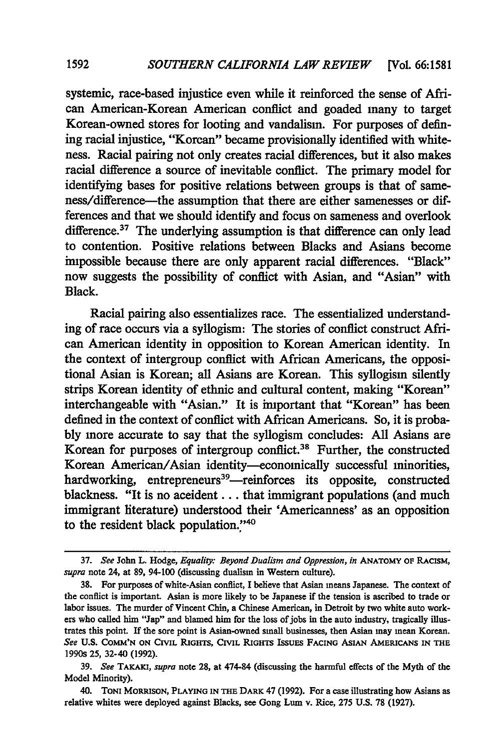systemic, race-based injustice even while it reinforced the sense of African American-Korean American conflict and goaded many to target Korean-owned stores for looting and vandalism. For purposes of defining racial injustice, "Korean" became provisionally identified with whiteness. Racial pairing not only creates racial differences, but it also makes racial difference a source of inevitable conflict. The primary model for identifying bases for positive relations between groups is that of sameness/difference-the assumption that there are either samenesses or differences and that we should identify and focus on sameness and overlook difference.<sup>37</sup> The underlying assumption is that difference can only lead to contention. Positive relations between Blacks and Asians become impossible because there are only apparent racial differences. "Black" now suggests the possibility of conflict with Asian, and "Asian" with Black.

Racial pairing also essentializes race. The essentialized understanding of race occurs via a syllogism: The stories of conflict construct African American identity in opposition to Korean American identity. In the context of intergroup conflict with African Americans, the oppositional Asian is Korean; all Asians are Korean. This syllogism silently strips Korean identity of ethnic and cultural content, making "Korean" interchangeable with "Asian." It is important that "Korean" has been defined in the context of conflict with African Americans. So, it is probably more accurate to say that the syllogism concludes: All Asians are Korean for purposes of intergroup conflict.<sup>38</sup> Further, the constructed Korean American/Asian identity-economically successful minorities, hardworking, entrepreneurs<sup>39</sup>—reinforces its opposite, constructed blackness. "It is no accident . . . that immigrant populations (and much immigrant literature) understood their 'Americanness' as an opposition to the resident black population."<sup>40</sup>

**1592**

**<sup>37.</sup>** *See* John L. Hodge, *Equality: Beyond Dualism and Oppression, in* **ANATOMY OF RACISM,** *supra* note 24, at **89,** 94-100 (discussing dualism in Western culture).

**<sup>38.</sup>** For purposes of white-Asian conflict, I believe that Asian means Japanese. The context of the conflict is important. Asian is more likely to be Japanese if the tension is ascribed to trade or labor issues. The murder of Vincent Chin, a Chinese American, in Detroit by two white auto workers who called him "Jap" and blamed him for the loss of jobs in the auto industry, tragically illustrates this point. **If** the sore point is Asian-owned small businesses, then Asian may mean Korean. *See* **U.S. COMM'N ON** CIVIL **RIGHTS, CIVIL RIGHTS** ISSUES **FACING** AsIAN **AMERICANS IN THE** 1990s **25,** 32-40 **(1992).**

**<sup>39.</sup>** *See* **TAKAKI,** *supra* note **28,** at 474-84 (discussing the harmful effects of the Myth of the Model Minority).

<sup>40.</sup> **TONI MORRISON, PLAYING IN THE DARK** 47 **(1992).** For a case illustrating how Asians as relative whites were deployed against Blacks, see Gong Lum v. Rice, **275 U.S. 78 (1927).**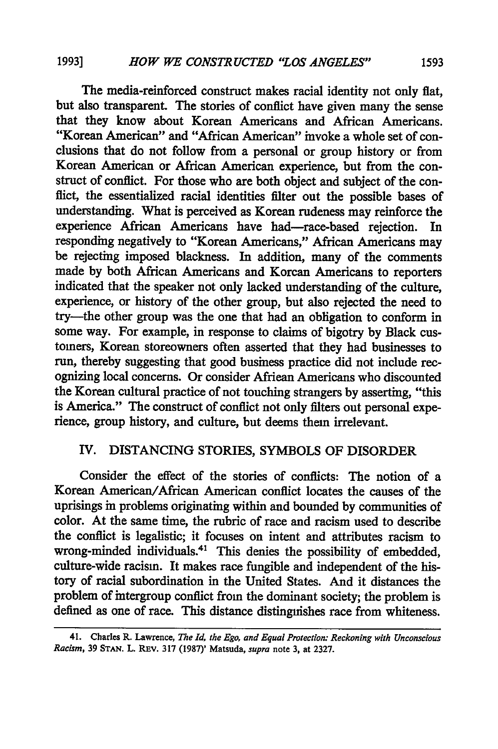The media-reinforced construct makes racial identity not only flat, but also transparent. The stories of conflict have given many the sense that they know about Korean Americans and African Americans. "Korean American" and "African American" invoke a whole set of conclusions that do not follow from a personal or group history or from Korean American or African American experience, but from the construct of conflict. For those who are both object and subject of the conffict, the essentialized racial identities filter out the possible bases of understanding. What is perceived as Korean rudeness may reinforce the experience African Americans have had-race-based rejection. In responding negatively to "Korean Americans," African Americans may be rejecting imposed blackness. In addition, many of the comments made by both African Americans and Korean Americans to reporters indicated that the speaker not only lacked understanding of the culture, experience, or history of the other group, but also rejected the need to try-the other group was the one that had an obligation to conform in some way. For example, in response to claims of bigotry by Black customers, Korean storeowners often asserted that they had businesses to run, thereby suggesting that good business practice did not include recognizing local concerns. Or consider African Americans who discounted the Korean cultural practice of not touching strangers by asserting, "this is America." The construct of conflict not only filters out personal experience, group history, and culture, but deems them irrelevant.

# IV. DISTANCING STORIES, SYMBOLS OF DISORDER

Consider the effect of the stories of conflicts: The notion of a Korean American/African American conflict locates the causes of the uprisings in problems originating within and bounded by communities of color. At the same time, the rubric of race and racism used to describe the conflict is legalistic; it focuses on intent and attributes racism to wrong-minded individuals.<sup>41</sup> This denies the possibility of embedded, culture-wide racism. It makes race fungible and independent of the history of racial subordination in the United States. And it distances the problem of intergroup conflict from the dominant society; the problem is defined as one of race. This distance distinguishes race from whiteness.

<sup>41.</sup> Charles R. Lawrence, *The Id, the Ego, and Equal Protection: Reckoning with Unconscious Racism,* 39 **STAN.** L. Rav. 317 (1987)' Matsuda, *supra* note 3, at 2327.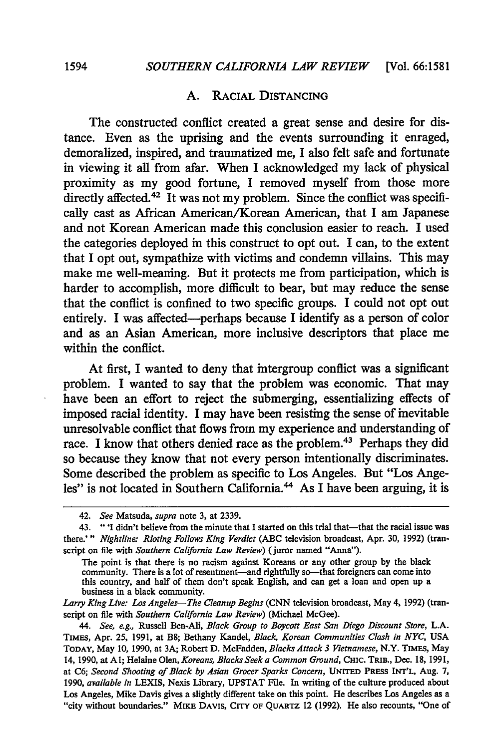## A. RACIAL DISTANCING

The constructed conflict created a great sense and desire for distance. Even as the uprising and the events surrounding it enraged, demoralized, inspired, and traumatized me, I also felt safe and fortunate in viewing it all from afar. When I acknowledged my lack of physical proximity as my good fortune, I removed myself from those more directly affected.<sup>42</sup> It was not my problem. Since the conflict was specifically cast as African American/Korean American, that I am Japanese and not Korean American made this conclusion easier to reach. I used the categories deployed in this construct to opt out. I can, to the extent that I opt out, sympathize with victims and condemn villains. This may make me well-meaning. But it protects me from participation, which is harder to accomplish, more difficult to bear, but may reduce the sense that the conflict is confined to two specific groups. I could not opt out entirely. I was affected-perhaps because I identify as a person of color and as an Asian American, more inclusive descriptors that place me within the conflict.

At first, I wanted to deny that intergroup conflict was a significant problem. I wanted to say that the problem was economic. That may have been an effort to reject the submerging, essentializing effects of imposed racial identity. I may have been resisting the sense of inevitable unresolvable conflict that flows from my experience and understanding of race. I know that others denied race as the problem.<sup>43</sup> Perhaps they did so because they know that not every person intentionally discriminates. Some described the problem as specific to Los Angeles. But "Los Angeles" is not located in Southern California.<sup>44</sup> As I have been arguing, it is

*Larry King Live: Los Angeles-The Cleanup Begins* (CNN television broadcast, May 4, 1992) (transcript on file with *Southern California* Law *Review)* (Michael McGee).

*44. See, e.g.,* Russell Ben-Ali, *Black Group to Boycott East San Diego Discount Store,* L.A. TIMES, Apr. 25, 1991, at B8; Bethany Kandel, *Black, Korean Communities Clash in NYC,* USA TODAY, May 10, 1990, at 3A; Robert D. McFadden, *Blacks Attack* **3** *Vietnamese,* N.Y. TIMES, May 14, 1990, at **Al;** Helaine Olen, *Koreans, Blacks Seek a Common Ground,* **CHIC.** TRIB., Dec. **18,** 1991, at C6; *Second Shooting of Black by Asian Grocer Sparks Concern,* **UNITED** PRESS INT'L, Aug. 7, 1990, *available in* LEXIS, Nexis Library, UPSTAT File. In writing of the culture produced about Los Angeles, Mike Davis gives a slightly different take on this point. He describes Los Angeles as a "city without boundaries." MIKE DAVIS, **CITY** OF **QUARTZ** 12 (1992). He also recounts, "One of

<sup>42.</sup> *See* Matsuda, *supra* note **3,** at 2339.

<sup>43. &</sup>quot;I didn't believe from the minute that I started on this trial that-that the racial issue was there.'" *Nightline: Rioting Follows King Verdict* (ABC television broadcast, Apr. 30, 1992) (transcript on file with *Southern California Law Review)* (juror named "Anna").

The point is that there is no racism against Koreans or any other group by the black community. There is a lot of resentment—and rightfully so—that foreigners can come into this country, and half of them don't speak English, and can get a loan and open up a business in a black community.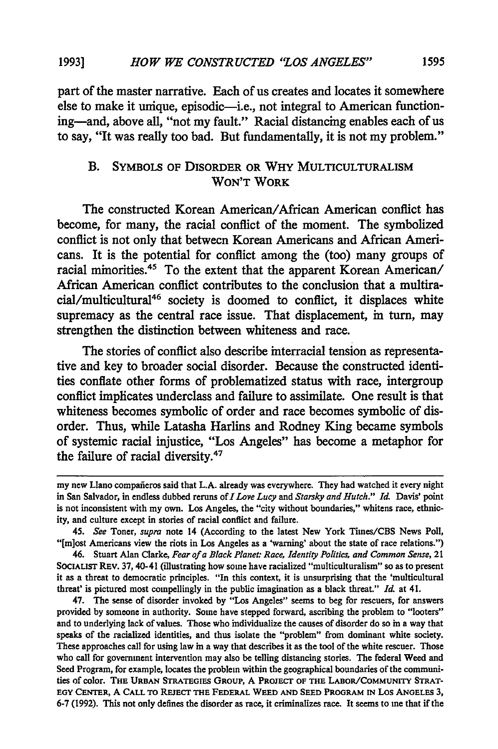part of the master narrative. Each of us creates and locates it somewhere else to make it unique, episodic-i.e., not integral to American functioning-and, above all, "not my fault." Racial distancing enables each of us to say, "It was really too bad. But fundamentally, it is not my problem."

# B. SYMBOLS OF DISORDER OR WHY **MULTICULTURALISM** WON'T WORK

The constructed Korean American/African American conflict has become, for many, the racial conflict of the moment. The symbolized conflict is not only that between Korean Americans and African Americans. It is the potential for conflict among the (too) many groups of racial minorities.<sup>45</sup> To the extent that the apparent Korean American/ African American conflict contributes to the conclusion that a multiracial/multicultural46 society is doomed to conflict, it displaces white supremacy as the central race issue. That displacement, in turn, may strengthen the distinction between whiteness and race.

The stories of conflict also describe interracial tension as representative and key to broader social disorder. Because the constructed identities conflate other forms of problematized status with race, intergroup conflict implicates underclass and failure to assimilate. One result is that whiteness becomes symbolic of order and race becomes symbolic of disorder. Thus, while Latasha Harlins and Rodney King became symbols of systemic racial injustice, "Los Angeles" has become a metaphor for the failure of racial diversity. $47$ 

46. Stuart Alan Clarke, *Fear of a Black Planet: Race, Identity Politics, and Common Sense,* 21 SOCIALIsT REv. 37, 40-41 (illustrating how some have racialized "multiculturalism" so as to present it as a threat to democratic principles. "In this context, it is unsurprising that the 'multicultural threat' is pictured most compellingly in the public imagination as a black threat." *Id.* at 41.

47. The sense of disorder invoked **by** "Los Angeles" seems to beg for rescuers, for answers provided by someone in authority. Some have stepped forward, ascribing the problem to "looters" and to underlying lack of values. Those who individualize the causes of disorder do so in a way that speaks of the racialized identities, and thus isolate the "problem" from dominant white society. These approaches call for using law in a way that describes it as the tool of the white rescuer. Those who call for government intervention may also be telling distancing stories. The federal Weed and Seed Program, for example, locates the problem within the geographical boundaries of the communities of color. **THE URBAN STRATEGIEs GROUP, A PROJECT OF THE LABOR/COMMUNITY STRAT-EGY CENTER, A CALL TO REJECT THE FEDERAL WEED AND SEED PROGRAM IN LOS ANGELES 3, 6-7 (1992).** This not only defines the disorder as race, it criminalizes race. It seems to me that if the

my new Llano compafieros said that **L.A.** already was everywhere. They had watched it every night in San Salvador, in endless dubbed reruns of *I Love Lucy and Starsky and Hutch." Id.* Davis' point is not inconsistent with my own. Los Angeles, the "city without boundaries," whitens race, ethnicity, and culture except in stories of racial conflict and failure.

<sup>45.</sup> *See* Toner, *supra* note 14 (According to the latest New York Times/CBS News Poll, "[m]ost Americans view the riots in Los Angeles as a 'warning' about the state of race relations.")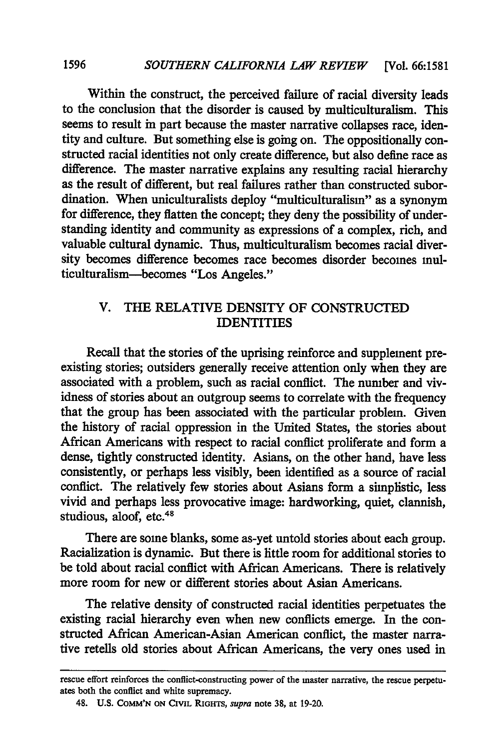Within the construct, the perceived failure of racial diversity leads to the conclusion that the disorder is caused by multiculturalism. This seems to result in part because the master narrative collapses race, identity and culture. But something else is going on. The oppositionally constructed racial identities not only create difference, but also define race as difference. The master narrative explains any resulting racial hierarchy as the result of different, but real failures rather than constructed subordination. When uniculturalists deploy "multiculturalism" as a synonym for difference, they flatten the concept; they deny the possibility of understanding identity and community as expressions of a complex, rich, and valuable cultural dynamic. Thus, multiculturalism becomes racial diversity becomes difference becomes race becomes disorder becomes multiculturalism-becomes "Los Angeles."

# V. THE RELATIVE DENSITY OF CONSTRUCTED IDENTITIES

Recall that the stories of the uprising reinforce and supplement preexisting stories; outsiders generally receive attention only when they are associated with a problem, such as racial conflict. The number and vividness of stories about an outgroup seems to correlate with the frequency that the group has been associated with the particular problem. Given the history of racial oppression in the United States, the stories about African Americans with respect to racial conflict proliferate and form a dense, tightly constructed identity. Asians, on the other hand, have less consistently, or perhaps less visibly, been identified as a source of racial conflict. The relatively few stories about Asians form a simplistic, less vivid and perhaps less provocative image: hardworking, quiet, clannish, studious, aloof, etc.<sup>48</sup>

There are some blanks, some as-yet untold stories about each group. Racialization is dynamic. But there is little room for additional stories to be told about racial conflict with African Americans. There is relatively more room for new or different stories about Asian Americans.

The relative density of constructed racial identities perpetuates the existing racial hierarchy even when new conflicts emerge. In the constructed African American-Asian American conflict, the master narrative retells old stories about African Americans, the very ones used in

rescue effort reinforces the conflict-constructing power of the master narrative, the rescue perpetuates both the conflict and white supremacy.

<sup>48.</sup> U.S. **COMM'N ON** CIVIL RIGHTS, *supra* note 38, at 19-20.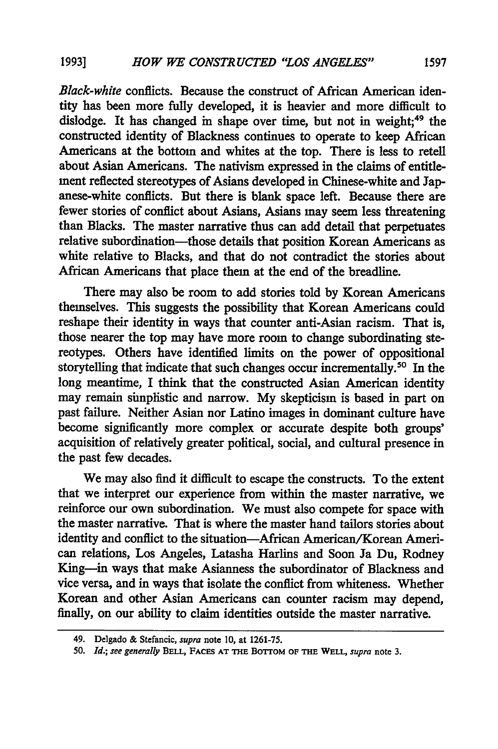*Black-white* conflicts. Because the construct of African American identity has been more fully developed, it is heavier and more difficult to dislodge. It has changed in shape over time, but not in weight;<sup>49</sup> the constructed identity of Blackness continues to operate to keep African Americans at the bottom and whites at the top. There is less to retell about Asian Americans. The nativism expressed in the claims of entitlement reflected stereotypes of Asians developed in Chinese-white and Japanese-white conflicts. But there is blank space left. Because there are fewer stories of conflict about Asians, Asians may seem less threatening than Blacks. The master narrative thus can add detail that perpetuates relative subordination-those details that position Korean Americans as white relative to Blacks, and that do not contradict the stories about African Americans that place them at the end of the breadline.

There may also be room to add stories told by Korean Americans themselves. This suggests the possibility that Korean Americans could reshape their identity in ways that counter anti-Asian racism. That is, those nearer the top may have more room to change subordinating stereotypes. Others have identified limits on the power of oppositional storytelling that indicate that such changes occur incrementally.<sup>50</sup> In the long meantime, I think that the constructed Asian American identity may remain simplistic and narrow. My skepticism is based in part on past failure. Neither Asian nor Latino images in dominant culture have become significantly more complex or accurate despite both groups' acquisition of relatively greater political, social, and cultural presence in the past few decades.

We may also find it difficult to escape the constructs. To the extent that we interpret our experience from within the master narrative, we reinforce our own subordination. We must also compete for space with the master narrative. That is where the master hand tailors stories about identity and conflict to the situation-African American/Korean American relations, Los Angeles, Latasha Harlins and Soon Ja Du, Rodney King-in ways that make Asianness the subordinator of Blackness and vice versa, and in ways that isolate the conflict from whiteness. Whether Korean and other Asian Americans can counter racism may depend, finally, on our ability to claim identities outside the master narrative.

<sup>49.</sup> Delgado & Stefancic, *supra* note 10, at 1261-75.

**<sup>50.</sup>** *Id.; see generally* **BELL, FACES AT THE BoTroM** OF **THE WELL,** *supra* note **3.**